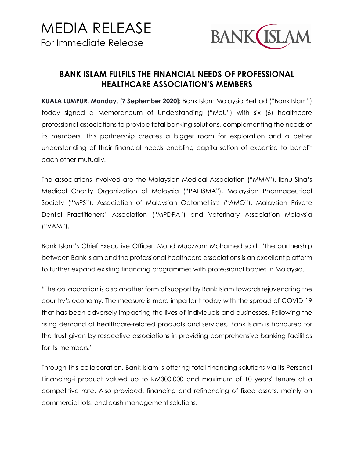

## **BANK ISLAM FULFILS THE FINANCIAL NEEDS OF PROFESSIONAL HEALTHCARE ASSOCIATION'S MEMBERS**

**KUALA LUMPUR, Monday, [7 September 2020]:** Bank Islam Malaysia Berhad ("Bank Islam") today signed a Memorandum of Understanding ("MoU") with six (6) healthcare professional associations to provide total banking solutions, complementing the needs of its members. This partnership creates a bigger room for exploration and a better understanding of their financial needs enabling capitalisation of expertise to benefit each other mutually.

The associations involved are the Malaysian Medical Association ("MMA"), Ibnu Sina's Medical Charity Organization of Malaysia ("PAPISMA"), Malaysian Pharmaceutical Society ("MPS"), Association of Malaysian Optometrists ("AMO"), Malaysian Private Dental Practitioners' Association ("MPDPA") and Veterinary Association Malaysia ("VAM").

Bank Islam's Chief Executive Officer, Mohd Muazzam Mohamed said, "The partnership between Bank Islam and the professional healthcare associations is an excellent platform to further expand existing financing programmes with professional bodies in Malaysia.

"The collaboration is also another form of support by Bank Islam towards rejuvenating the country's economy. The measure is more important today with the spread of COVID-19 that has been adversely impacting the lives of individuals and businesses. Following the rising demand of healthcare-related products and services, Bank Islam is honoured for the trust given by respective associations in providing comprehensive banking facilities for its members."

Through this collaboration, Bank Islam is offering total financing solutions via its Personal Financing-i product valued up to RM300,000 and maximum of 10 years' tenure at a competitive rate. Also provided, financing and refinancing of fixed assets, mainly on commercial lots, and cash management solutions.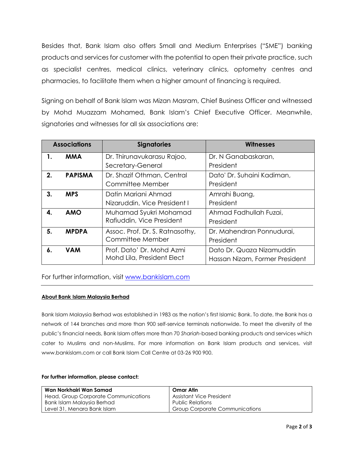Besides that, Bank Islam also offers Small and Medium Enterprises ("SME") banking products and services for customer with the potential to open their private practice, such as specialist centres, medical clinics, veterinary clinics, optometry centres and pharmacies, to facilitate them when a higher amount of financing is required.

Signing on behalf of Bank Islam was Mizan Masram, Chief Business Officer and witnessed by Mohd Muazzam Mohamed, Bank Islam's Chief Executive Officer. Meanwhile, signatories and witnesses for all six associations are:

| <b>Associations</b> |                | <b>Signatories</b>              | <b>Witnesses</b>               |
|---------------------|----------------|---------------------------------|--------------------------------|
| 1.                  | <b>MMA</b>     | Dr. Thirunavukarasu Rajoo,      | Dr. N Ganabaskaran,            |
|                     |                | Secretary-General               | President                      |
| 2.                  | <b>PAPISMA</b> | Dr. Shazif Othman, Central      | Dato' Dr. Suhaini Kadiman,     |
|                     |                | Committee Member                | President                      |
| 3.                  | <b>MPS</b>     | Datin Mariani Ahmad             | Amrahi Buang,                  |
|                     |                | Nizaruddin, Vice President I    | President                      |
| <b>AMO</b><br>4.    |                | Muhamad Syukri Mohamad          | Ahmad Fadhullah Fuzai,         |
|                     |                | Rafiuddin, Vice President       | President                      |
| 5.                  | <b>MPDPA</b>   | Assoc. Prof. Dr. S. Ratnasothy, | Dr. Mahendran Ponnudurai,      |
|                     |                | Committee Member                | President                      |
| 6.                  | <b>VAM</b>     | Prof. Dato' Dr. Mohd Azmi       | Dato Dr. Quaza Nizamuddin      |
|                     |                | Mohd Lila, President Elect      | Hassan Nizam, Former President |

## For further information, visit [www.bankislam.com](http://www.bankislam.com/)

## **About Bank Islam Malaysia Berhad**

Bank Islam Malaysia Berhad was established in 1983 as the nation's first Islamic Bank. To date, the Bank has a network of 144 branches and more than 900 self-service terminals nationwide. To meet the diversity of the public's financial needs, Bank Islam offers more than 70 *Shariah*-based banking products and services which cater to Muslims and non-Muslims. For more information on Bank Islam products and services, visit www.bankislam.com or call Bank Islam Call Centre at 03-26 900 900.

| Wan Norkhairi Wan Samad              | Omar Atin                             |
|--------------------------------------|---------------------------------------|
| Head, Group Corporate Communications | Assistant Vice President              |
| Bank Islam Malaysia Berhad           | <b>Public Relations</b>               |
| Level 31, Menara Bank Islam          | <b>Group Corporate Communications</b> |

## **For further information, please contact:**